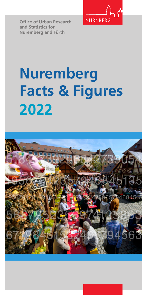

**Office of Urban Research and Statistics for Nuremberg and Fürth**

# **Nuremberg Facts & Figures 2022**

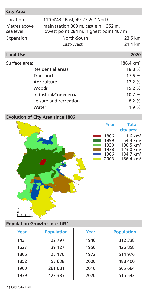| <b>City Area</b>                        |                                                                                                                                    |                      |  |  |  |
|-----------------------------------------|------------------------------------------------------------------------------------------------------------------------------------|----------------------|--|--|--|
| Location:<br>Metres above<br>sea level: | 11°04'43" East, 49°27'20" North <sup>1)</sup><br>main station 309 m, castle hill 352 m,<br>lowest point 284 m, highest point 407 m |                      |  |  |  |
| Expansion:                              | North-South                                                                                                                        | 23.5 km              |  |  |  |
|                                         | East-West                                                                                                                          | 21.4 km              |  |  |  |
| <b>Land Use</b>                         |                                                                                                                                    | 2020                 |  |  |  |
| Surface area:                           |                                                                                                                                    | $186.4 \text{ km}^2$ |  |  |  |
|                                         | Residential areas                                                                                                                  | 18.8%                |  |  |  |
|                                         | Transport                                                                                                                          | 17.6%                |  |  |  |
|                                         | Agriculture                                                                                                                        | 17.2%                |  |  |  |

Woods 15.2 % Industrial/Commercial 10.7 % Leisure and recreation 8.2 %

## Water **1.9** % **Evolution of City Area since 1806**



## **Population Growth since 1431**

km

| Year | <b>Population</b> | Year | <b>Population</b> |
|------|-------------------|------|-------------------|
| 1431 | 22797             | 1946 | 312 338           |
| 1627 | 39 127            | 1956 | 426 858           |
| 1806 | 25 176            | 1972 | 514 976           |
| 1852 | 53 638            | 2000 | 488 400           |
| 1900 | 261 081           | 2010 | 505 664           |
| 1939 | 423 383           | 2020 | 515 543           |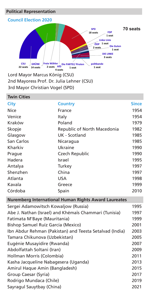## **Political Representation**



2nd Mayoress Prof. Dr. Julia Lehner (CSU) 3rd Mayor Christian Vogel (SPD)

| <b>Twin Cities</b>                   |                                                         |              |  |  |
|--------------------------------------|---------------------------------------------------------|--------------|--|--|
| City                                 | <b>Country</b>                                          | <b>Since</b> |  |  |
| Nice                                 | France                                                  | 1954         |  |  |
| Venice                               | Italy                                                   | 1954         |  |  |
| Kraków                               | Poland                                                  | 1979         |  |  |
| Skopje                               | Republic of North Macedonia                             | 1982         |  |  |
| Glasgow                              | UK - Scotland                                           | 1985         |  |  |
| San Carlos                           | Nicaragua                                               | 1985         |  |  |
| Kharkiv                              | Ukraine                                                 | 1990         |  |  |
| Prague                               | Czech Republic                                          | 1990         |  |  |
| Hadera                               | Israel                                                  | 1995         |  |  |
| Antalya                              | Turkey                                                  | 1997         |  |  |
| Shenzhen                             | China                                                   | 1997         |  |  |
| Atlanta                              | <b>USA</b>                                              | 1998         |  |  |
| Kavala                               | Greece                                                  | 1999         |  |  |
| Córdoba                              | Spain                                                   | 2010         |  |  |
|                                      | Nuremberg International Human Rights Award Laureates    |              |  |  |
| Sergei Adamowitsch Kowaljow (Russia) |                                                         | 1995         |  |  |
|                                      | Abe J. Nathan (Israel) and Khémaïs Chammari (Tunisia)   | 1997         |  |  |
| Fatimata M'Baye (Mauritania)         |                                                         | 1999         |  |  |
| Bishop Samuel Ruíz García (Mexico)   |                                                         | 2001         |  |  |
|                                      | Ibn Abdur Rehman (Pakistan) and Teesta Setalvad (India) | 2003         |  |  |
| Tamara Chikunova (Uzbekistan)        |                                                         | 2005         |  |  |
| Eugénie Musayidire (Rwanda)          |                                                         | 2007         |  |  |
| Abdolfattah Soltani (Iran)           |                                                         | 2009         |  |  |
| Hollman Morris (Colombia)            |                                                         | 2011         |  |  |
| Kasha Jacqueline Nabagesera (Uganda) |                                                         | 2013         |  |  |
| Amirul Haque Amin (Bangladesh)       |                                                         | 2015         |  |  |
| Group Caesar (Syria)                 |                                                         | 2017         |  |  |
| Rodrigo Mundaca (Chile)              |                                                         | 2019         |  |  |
| Sayragul Sauytbay (China)<br>2021    |                                                         |              |  |  |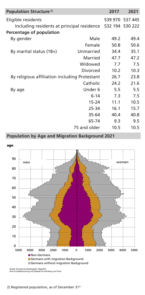| Population Structure <sup>2)</sup>                         |              | 2017 | 2021            |
|------------------------------------------------------------|--------------|------|-----------------|
| Eligible residents                                         |              |      | 539 970 537 445 |
| Including residents at principal residence 532 194 530 222 |              |      |                 |
| Percentage of population                                   |              |      |                 |
| By gender                                                  | 49.2         | 49.4 |                 |
|                                                            | Female       | 50.8 | 50.6            |
| By marital status $(18+)$                                  | Unmarried    | 34.4 | 35.1            |
|                                                            | Married      | 47.7 | 47.2            |
|                                                            | Widowed      | 7.7  | 7.5             |
|                                                            | Divorced     | 10.2 | 10.3            |
| By religious affiliation including Protestant              |              | 26.7 | 23.8            |
|                                                            | Catholic     | 24.2 | 21.6            |
| By age                                                     | Under 6      | 5.5  | 5.5             |
|                                                            | $6 - 14$     | 7.3  | 7.5             |
|                                                            | $15 - 24$    | 11.1 | 10.5            |
|                                                            | 25-34        | 16.1 | 15.7            |
|                                                            | 35-64        | 40.4 | 40.8            |
|                                                            | 65-74        | 9.3  | 9.5             |
|                                                            | 75 and older | 10.5 | 10.5            |

## **Population by Age and Migration Background 2021**



Quelle: Einwohnermelderegister, MigraPro Amt für Stadtforschung und Statistik für Nürnberg und Fürth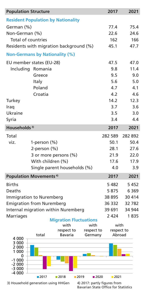| <b>Population Structure</b> |                                                                     | 2017          | 2021    |  |  |  |  |
|-----------------------------|---------------------------------------------------------------------|---------------|---------|--|--|--|--|
|                             | <b>Resident Population by Nationality</b>                           |               |         |  |  |  |  |
| German (%)                  |                                                                     | 77.4          | 75.4    |  |  |  |  |
| Non-German (%)              |                                                                     | 22.6          | 24.6    |  |  |  |  |
| Total of countries          |                                                                     | 162           | 166     |  |  |  |  |
|                             | Residents with migration background (%)                             | 45.1          | 47.7    |  |  |  |  |
|                             | <b>Non-Germans by Nationality (%)</b>                               |               |         |  |  |  |  |
|                             | EU member states (EU-28)                                            | 47.5          | 47.0    |  |  |  |  |
|                             | Including Romania                                                   | 9.8           | 11.4    |  |  |  |  |
|                             | Greece                                                              | 9.5           | 9.0     |  |  |  |  |
|                             | Italy                                                               | 5.6           | 5.0     |  |  |  |  |
|                             | Poland                                                              | 4.7           | 4.1     |  |  |  |  |
|                             | Croatia                                                             | 4.2           | 4.6     |  |  |  |  |
| Turkey                      |                                                                     | 14.2          | 12.3    |  |  |  |  |
| Iraq                        |                                                                     | 3.7           | 3.6     |  |  |  |  |
| Ukraine                     |                                                                     | 3.5           | 3.0     |  |  |  |  |
| Syria                       |                                                                     | 3.4           | 4.4     |  |  |  |  |
| Households <sup>3)</sup>    |                                                                     | 2017          | 2021    |  |  |  |  |
| Total                       |                                                                     | 282 589       | 282 892 |  |  |  |  |
| viz.                        | 1-person $(\%)$                                                     | 50.1          | 50.4    |  |  |  |  |
|                             | 2-person $(\%)$                                                     | 28.1          | 27.6    |  |  |  |  |
|                             | 3 or more persons (%)                                               | 21.9          | 22.0    |  |  |  |  |
|                             | With children (%)                                                   | 17.6          | 17.9    |  |  |  |  |
|                             | Single parent households (%)                                        | 4.0           | 3.9     |  |  |  |  |
|                             | <b>Population Movements<sup>4)</sup></b>                            | 2017          | 2021    |  |  |  |  |
| <b>Births</b>               |                                                                     | 5482          | 5452    |  |  |  |  |
| Deaths                      |                                                                     | 5875          | 6 3 6 9 |  |  |  |  |
|                             | Immigration to Nuremberg                                            | 38 895        | 30 414  |  |  |  |  |
|                             | <b>Emigration from Nuremberg</b>                                    | 36 332        | 32 782  |  |  |  |  |
|                             | Internal migration within Nuremberg                                 | 39 691        | 34 944  |  |  |  |  |
| <b>Marriages</b>            |                                                                     | 2 4 2 4       | 1835    |  |  |  |  |
|                             | <b>Migration Fluctuations</b><br>with<br>with                       | with          |         |  |  |  |  |
|                             | respect to<br>respect to                                            | respect to    |         |  |  |  |  |
| 4 000                       | total<br>Bavaria<br>Germany                                         | Abroad        |         |  |  |  |  |
| 3 000                       |                                                                     |               |         |  |  |  |  |
| 2 000<br>1 000              |                                                                     |               |         |  |  |  |  |
| 0                           |                                                                     |               |         |  |  |  |  |
| -1 000<br>$-2000$           |                                                                     |               |         |  |  |  |  |
| $-3000$                     |                                                                     |               |         |  |  |  |  |
| $-4000$                     | ■ 2017<br>2018<br>■2019                                             | ■2020<br>2021 |         |  |  |  |  |
|                             | 3) Household generation using HHGen<br>4) 2017: partly figures from |               |         |  |  |  |  |

4) 2017: partly figures from<br>Bavarian State Office for Statistics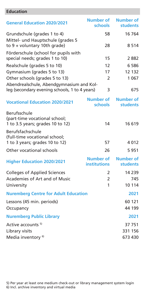## **Education**

| <b>General Education 2020/2021</b>                                                        | Number of<br>schools                    | Number of<br><b>students</b>        |
|-------------------------------------------------------------------------------------------|-----------------------------------------|-------------------------------------|
| Grundschule (grades 1 to 4)                                                               | 58                                      | 16 764                              |
| Mittel- und Hauptschule (grades 5<br>to $9 +$ voluntary 10th grade)                       | 28                                      | 8 5 1 4                             |
| Förderschule (school for pupils with<br>special needs; grades 1 to 10)                    | 15                                      | 2 882                               |
| Realschule (grades 5 to 10)                                                               | 12                                      | 6586                                |
| Gymnasium (grades 5 to 13)                                                                | 17                                      | 12 132                              |
| Other schools (grades 5 to 13)                                                            | 2                                       | 1 0 6 7                             |
| Abendrealschule, Abendgymnasium and Kol-<br>leg (secondary evening schools, 1 to 4 years) | 3                                       | 675                                 |
| <b>Vocational Education 2020/2021</b>                                                     | <b>Number of</b><br>schools             | <b>Number of</b><br><b>students</b> |
| <b>Berufsschule</b><br>(part-time vocational school;<br>1 to 3.5 years; grades 10 to 12)  | 14                                      | 16619                               |
| Berufsfachschule<br>(full-time vocational school;<br>1 to 3 years; grades 10 to 12)       | 57                                      | 4012                                |
| Other vocational schools                                                                  | 26                                      | 5951                                |
| <b>Higher Education 2020/2021</b>                                                         | <b>Number of</b><br><b>institutions</b> | Number of<br><b>students</b>        |
| <b>Colleges of Applied Sciences</b>                                                       | 2                                       | 14 2 3 9                            |
| Academies of Art and of Music                                                             | $\overline{2}$                          | 745                                 |
| University                                                                                | 1                                       | 10 114                              |
| <b>Nuremberg Centre for Adult Education</b>                                               |                                         | 2021                                |
| Lessons (45 min. periods)                                                                 |                                         | 60 121                              |
| Occupancy                                                                                 |                                         | 44 199                              |
| <b>Nuremberg Public Library</b>                                                           |                                         | 2021                                |
| Active accounts <sup>5)</sup>                                                             |                                         | 37 751                              |
| Library visits                                                                            |                                         | 331 156                             |
| Media inventory <sup>6)</sup>                                                             |                                         | 673 430                             |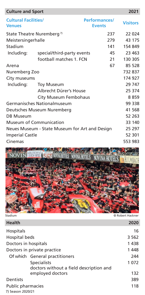| <b>Culture and Sport</b>                     |                                                |                                       | 2021            |
|----------------------------------------------|------------------------------------------------|---------------------------------------|-----------------|
| <b>Cultural Facilities/</b><br><b>Venues</b> |                                                | <b>Performances/</b><br><b>Events</b> | <b>Visitors</b> |
|                                              | State Theatre Nuremberg <sup>7)</sup>          | 237                                   | 22 0 24         |
| Meistersingerhalle                           |                                                | 279                                   | 43 175          |
| Stadium                                      |                                                | 141                                   | 154 849         |
| Including:                                   | special/third-party events                     | 45                                    | 23 463          |
|                                              | football matches 1. FCN                        | 21                                    | 130 305         |
| Arena                                        |                                                | 67                                    | 85 528          |
| Nuremberg Zoo                                |                                                |                                       | 732 837         |
| City museums                                 |                                                |                                       | 174 927         |
| Including:                                   | <b>Toy Museum</b>                              |                                       | 29 747          |
|                                              | Albrecht Dürer's House                         |                                       | 25 374          |
|                                              | City Museum Fembohaus                          |                                       | 8859            |
|                                              | Germanisches Nationalmuseum                    |                                       | 99 338          |
|                                              | Deutsches Museum Nuremberg                     |                                       | 41 568          |
| <b>DB Museum</b>                             |                                                |                                       | 52 263          |
|                                              | <b>Museum of Communication</b>                 |                                       | 33 140          |
|                                              | Neues Museum - State Museum for Art and Design |                                       | 25 297          |
| <b>Imperial Castle</b>                       |                                                |                                       | 52 301          |
| Cinemas                                      |                                                |                                       | 553 983         |
|                                              |                                                |                                       |                 |



| <b>Health</b>               |                                                               | 2020 |
|-----------------------------|---------------------------------------------------------------|------|
| <b>Hospitals</b>            | 16                                                            |      |
| Hospital beds               | 3 5 6 2                                                       |      |
| Doctors in hospitals        | 1438                                                          |      |
| Doctors in private practice | 1448                                                          |      |
|                             | Of which General practitioners                                | 244  |
|                             | <b>Specialists</b><br>doctors without a field description and | 1072 |
|                             | employed doctors                                              | 132  |
| Dentists                    | 389                                                           |      |
| Public pharmacies           |                                                               | 118  |
| 7) Season 2020/21           |                                                               |      |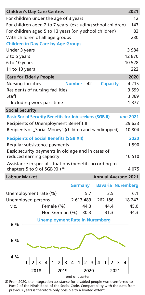| <b>Children's Day Care Centres</b>                             |  |      |  |  |  |            |                                       |                |      |      |   |                 |      |  | 2021                       |
|----------------------------------------------------------------|--|------|--|--|--|------------|---------------------------------------|----------------|------|------|---|-----------------|------|--|----------------------------|
| For children under the age of 3 years                          |  |      |  |  |  |            |                                       |                |      |      |   |                 |      |  | 12                         |
| For children aged 2 to 7 years (excluding school children)     |  |      |  |  |  |            |                                       |                |      |      |   |                 |      |  | 147                        |
| For children aged 5 to 13 years (only school children)         |  |      |  |  |  | 83         |                                       |                |      |      |   |                 |      |  |                            |
| With children of all age groups                                |  |      |  |  |  |            |                                       |                |      |      |   |                 |      |  | 230                        |
| <b>Children in Day Care by Age Groups</b>                      |  |      |  |  |  |            |                                       |                |      |      |   |                 |      |  |                            |
| Under 3 years                                                  |  |      |  |  |  |            |                                       |                |      |      |   |                 |      |  | 3 984                      |
| 3 to 5 years                                                   |  |      |  |  |  |            |                                       |                |      |      |   |                 |      |  | 12870                      |
| 6 to 10 years                                                  |  |      |  |  |  |            |                                       |                |      |      |   |                 |      |  | 10 528                     |
| 11 to 13 years                                                 |  |      |  |  |  |            |                                       |                |      |      |   |                 |      |  | 222                        |
| <b>Care for Elderly People</b>                                 |  |      |  |  |  |            |                                       |                |      |      |   |                 |      |  | 2020                       |
| <b>Nursing facilities</b>                                      |  |      |  |  |  |            | Number 42                             |                |      |      |   | <b>Capacity</b> |      |  | 4 2 1 5                    |
| Residents of nursing facilities                                |  |      |  |  |  |            |                                       |                |      |      |   |                 |      |  | 3 699                      |
| Staff                                                          |  |      |  |  |  |            |                                       |                |      |      |   |                 |      |  | 3 3 6 9                    |
| Including work part-time                                       |  |      |  |  |  |            |                                       |                |      |      |   |                 |      |  | 1877                       |
| <b>Social Security</b>                                         |  |      |  |  |  |            |                                       |                |      |      |   |                 |      |  |                            |
| <b>Basic Social Security Benefits for Job-seekers (SGB II)</b> |  |      |  |  |  |            |                                       |                |      |      |   |                 |      |  | <b>June 2021</b>           |
| Recipients of Unemployment Benefit II                          |  |      |  |  |  |            |                                       |                |      |      |   |                 |      |  | 29 633                     |
| Recipients of "Social Money" (children and handicapped)        |  |      |  |  |  |            |                                       |                |      |      |   |                 |      |  | 10 804                     |
| <b>Recipients of Social Benefits (SGB XII)</b>                 |  |      |  |  |  |            |                                       |                |      |      |   |                 |      |  | 2020                       |
| Regular subsistence payments                                   |  |      |  |  |  |            |                                       |                |      |      |   |                 |      |  | 1 5 9 0                    |
| Basic security payments in old age and in cases of             |  |      |  |  |  |            |                                       |                |      |      |   |                 |      |  |                            |
| reduced earning capacity                                       |  |      |  |  |  |            |                                       |                |      |      |   |                 |      |  | 10 510                     |
| Assistance in special situations (benefits according to        |  |      |  |  |  |            |                                       |                |      |      |   |                 |      |  |                            |
| chapters 5 to 9 of SGB XII) 8)                                 |  |      |  |  |  |            |                                       |                |      |      |   |                 |      |  | 4075                       |
| <b>Labour Market</b>                                           |  |      |  |  |  |            |                                       |                |      |      |   |                 |      |  | <b>Annual Average 2021</b> |
|                                                                |  |      |  |  |  |            |                                       | <b>Germany</b> |      |      |   |                 |      |  | <b>Bavaria Nuremberg</b>   |
| Unemployment rate (%)                                          |  |      |  |  |  |            |                                       |                | 5.7  |      |   |                 | 3.5  |  | 6.1                        |
| Unemployed persons                                             |  |      |  |  |  |            |                                       | 2 613 489      |      |      |   | 262 186         |      |  | 18 247                     |
| viz.                                                           |  |      |  |  |  | Female (%) |                                       |                | 44.3 |      |   |                 | 44.4 |  | 45.0                       |
|                                                                |  |      |  |  |  |            | Non-German (%)                        |                | 30.3 |      |   |                 | 31.3 |  | 44.3                       |
|                                                                |  |      |  |  |  |            |                                       |                |      |      |   |                 |      |  |                            |
| 8 %                                                            |  |      |  |  |  |            | <b>Unemployment Rate in Nuremberg</b> |                |      |      |   |                 |      |  |                            |
|                                                                |  |      |  |  |  |            |                                       |                |      |      |   |                 |      |  |                            |
|                                                                |  |      |  |  |  |            |                                       |                |      |      |   |                 |      |  |                            |
| 6 %                                                            |  |      |  |  |  |            |                                       |                |      |      |   |                 |      |  |                            |
|                                                                |  |      |  |  |  |            |                                       |                |      |      |   |                 |      |  |                            |
| 4 %                                                            |  |      |  |  |  |            |                                       |                |      |      |   |                 |      |  |                            |
|                                                                |  |      |  |  |  |            |                                       |                | 2    |      | 4 |                 | 2    |  |                            |
|                                                                |  | 2018 |  |  |  | 2019       |                                       |                |      | 2020 |   |                 | 2021 |  |                            |
|                                                                |  |      |  |  |  |            | end of quarter                        |                |      |      |   |                 |      |  |                            |

 8) From 2020, the integration assistance for disabled people was transferred to Part 2 of the Ninth Book of the Social Code. Comparability with the data from previous years is therefore only possible to a limited extent.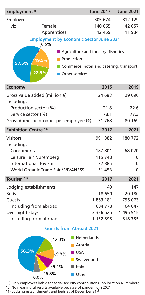| Employment <sup>9)</sup> |                        | <b>June 2017</b>             | <b>June 2021</b>                                                                                                                 |         |
|--------------------------|------------------------|------------------------------|----------------------------------------------------------------------------------------------------------------------------------|---------|
| <b>Employees</b>         |                        |                              | 305 674                                                                                                                          | 312 129 |
| viz.                     | Female                 |                              | 140 665                                                                                                                          | 142 657 |
|                          | Apprentices            |                              | 12 459                                                                                                                           | 11 934  |
| 57.5%                    | 0.5%<br>19.5%<br>22.5% | Production<br>Other services | <b>Employment by Economic Sector June 2021</b><br>Agriculture and forestry, fisheries<br>Commerce, hotel and catering, transport |         |
|                          |                        |                              | 304 F                                                                                                                            |         |

| <b>Economy</b>                                        | 2015      | 2019      |
|-------------------------------------------------------|-----------|-----------|
| Gross value added (million $\epsilon$ )<br>Including: | 24 683    | 29 0 90   |
| Production sector (%)                                 | 21.8      | 22.6      |
| Service sector (%)                                    | 78.1      | 77.3      |
| Gross domestic product per employee $(\epsilon)$      | 71 768    | 80 169    |
| <b>Exhibition Centre 10)</b>                          | 2017      | 2021      |
| <b>Visitors</b><br>Including:                         | 991 382   | 180 772   |
| Consumenta                                            | 187 801   | 68 0 20   |
| Leisure Fair Nuremberg                                | 115 748   | 0         |
| International Toy Fair                                | 72 885    | 0         |
| World Organic Trade Fair / VIVANESS                   | 51 453    | 0         |
| Tourism <sup>11)</sup>                                | 2017      | 2021      |
| Lodging establishments                                | 149       | 147       |
| <b>Beds</b>                                           | 18 650    | 20 180    |
| Guests                                                | 1863 181  | 796 073   |
| Including from abroad                                 | 604 778   | 164 847   |
| Overnight stays                                       | 3 326 525 | 1 496 915 |
| Including from abroad                                 | 1 132 393 | 318735    |

## **Guests from Abroad 2021**



 9) Only employees liable for social security contributions; job location Nuremberg 10) No meaningful results available because of pandemic in 2021

11) Lodging establishments and beds as of December 31st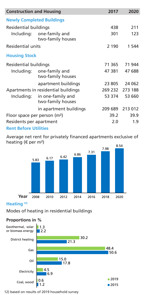| <b>Construction and Housing</b>          |                                        | 2017    | 2020    |
|------------------------------------------|----------------------------------------|---------|---------|
|                                          | <b>Newly Completed Buildings</b>       |         |         |
| Residential buildings                    |                                        | 438     | 211     |
| Including:                               | 301                                    | 123     |         |
| <b>Residential units</b>                 |                                        | 2 1 9 0 | 1 544   |
| <b>Housing Stock</b>                     |                                        |         |         |
| Residential buildings                    |                                        | 71 365  | 71 944  |
| Including:                               | one-family and<br>two-family houses    | 47 381  | 47 688  |
|                                          | apartment buildings                    | 23 805  | 24 062  |
|                                          | Apartments in residential buildings    | 269 232 | 273 188 |
| Including:                               | in one-family and<br>two-family houses | 53 374  | 53 660  |
|                                          | in apartment buildings                 | 209 689 | 213 012 |
| Floor space per person (m <sup>2</sup> ) |                                        | 39.2    | 39.9    |
| Residents per apartment                  |                                        | 2.0     | 1.9     |
| <b>Rent Before Utilities</b>             |                                        |         |         |

Average net rent for privately financed apartments exclusive of heating (€ per m²)



## **Heating 12)**

Modes of heating in residential buildings

## **Proportions in %**



12) based on results of 2019 household survey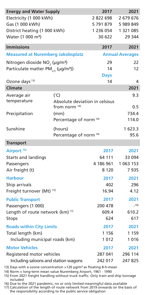| <b>Energy and Water Supply</b>                                                                                                              |                                  |                                                                                                                                                                                                                                                                                                                                                 |  |  |
|---------------------------------------------------------------------------------------------------------------------------------------------|----------------------------------|-------------------------------------------------------------------------------------------------------------------------------------------------------------------------------------------------------------------------------------------------------------------------------------------------------------------------------------------------|--|--|
| Electricity (1 000 kWh)                                                                                                                     |                                  |                                                                                                                                                                                                                                                                                                                                                 |  |  |
| Gas (1 000 kWh)                                                                                                                             |                                  |                                                                                                                                                                                                                                                                                                                                                 |  |  |
| District heating (1 000 kWh)                                                                                                                |                                  | 1 321 085<br>29 344                                                                                                                                                                                                                                                                                                                             |  |  |
| Water (1 000 m <sup>3</sup> )                                                                                                               |                                  |                                                                                                                                                                                                                                                                                                                                                 |  |  |
| <b>Immissions</b>                                                                                                                           |                                  |                                                                                                                                                                                                                                                                                                                                                 |  |  |
| <b>Measured at Nuremberg Jakobsplatz</b>                                                                                                    |                                  |                                                                                                                                                                                                                                                                                                                                                 |  |  |
| Nitrogen dioxide NO <sub>2</sub> (µg/m <sup>3</sup> )                                                                                       |                                  |                                                                                                                                                                                                                                                                                                                                                 |  |  |
| Particulate matter PM <sub>2.5</sub> (µg/m <sup>3</sup> ))                                                                                  |                                  | 12                                                                                                                                                                                                                                                                                                                                              |  |  |
|                                                                                                                                             | <b>Days</b>                      |                                                                                                                                                                                                                                                                                                                                                 |  |  |
| Ozone days <sup>13)</sup><br><b>Climate</b>                                                                                                 |                                  |                                                                                                                                                                                                                                                                                                                                                 |  |  |
|                                                                                                                                             |                                  | 2021                                                                                                                                                                                                                                                                                                                                            |  |  |
| $(^{\circ}C)$                                                                                                                               |                                  | 9.3                                                                                                                                                                                                                                                                                                                                             |  |  |
| temperature                                                                                                                                 |                                  |                                                                                                                                                                                                                                                                                                                                                 |  |  |
|                                                                                                                                             |                                  | 0.5<br>734.4                                                                                                                                                                                                                                                                                                                                    |  |  |
|                                                                                                                                             | 114.0                            |                                                                                                                                                                                                                                                                                                                                                 |  |  |
| (hours)                                                                                                                                     |                                  | 1 623.3                                                                                                                                                                                                                                                                                                                                         |  |  |
|                                                                                                                                             |                                  |                                                                                                                                                                                                                                                                                                                                                 |  |  |
|                                                                                                                                             |                                  |                                                                                                                                                                                                                                                                                                                                                 |  |  |
| Airport <sup>16)</sup>                                                                                                                      |                                  | 2021                                                                                                                                                                                                                                                                                                                                            |  |  |
|                                                                                                                                             | 64 111                           | 33 094                                                                                                                                                                                                                                                                                                                                          |  |  |
|                                                                                                                                             | 4 186 961                        | 1 063 153                                                                                                                                                                                                                                                                                                                                       |  |  |
|                                                                                                                                             | 8 1 2 0                          | 7935                                                                                                                                                                                                                                                                                                                                            |  |  |
| <b>Harbour</b>                                                                                                                              |                                  |                                                                                                                                                                                                                                                                                                                                                 |  |  |
| Ship arrivals                                                                                                                               |                                  |                                                                                                                                                                                                                                                                                                                                                 |  |  |
| Freight turnover (Mt) <sup>15)</sup>                                                                                                        |                                  |                                                                                                                                                                                                                                                                                                                                                 |  |  |
| <b>Public Transport</b>                                                                                                                     |                                  |                                                                                                                                                                                                                                                                                                                                                 |  |  |
| Passengers (1 000)                                                                                                                          |                                  | $-16)$                                                                                                                                                                                                                                                                                                                                          |  |  |
| Length of route network (km) <sup>17)</sup><br><b>Stops</b>                                                                                 |                                  | 610.2                                                                                                                                                                                                                                                                                                                                           |  |  |
|                                                                                                                                             |                                  | 617                                                                                                                                                                                                                                                                                                                                             |  |  |
| <b>Roads within City Limits</b>                                                                                                             |                                  |                                                                                                                                                                                                                                                                                                                                                 |  |  |
| Total length (km)                                                                                                                           |                                  | 1 1 5 9<br>1016                                                                                                                                                                                                                                                                                                                                 |  |  |
| Including municipal roads (km)                                                                                                              |                                  |                                                                                                                                                                                                                                                                                                                                                 |  |  |
| <b>Motor Vehicles</b>                                                                                                                       |                                  |                                                                                                                                                                                                                                                                                                                                                 |  |  |
| Registered motor vehicles                                                                                                                   |                                  | 296 114<br>247 825                                                                                                                                                                                                                                                                                                                              |  |  |
| Including saloons and station wagons<br>$\binom{3}{2}$ Days with a ozone concentration $\frac{1}{2}$ ug/m <sup>3</sup> as floating 8-h-mean |                                  |                                                                                                                                                                                                                                                                                                                                                 |  |  |
|                                                                                                                                             | from norm <sup>14)</sup><br>(mm) | 2017<br>2822698<br>5 791 879<br>1 236 054<br>30 622<br>2017<br><b>Annual Averages</b><br>29<br>14<br>14<br>Absolute deviation in celsisus<br>Percentage of norm <sup>14)</sup><br>Percentage of norm <sup>14)</sup><br>2017<br>2017<br>402<br>16.94<br>2017<br>200 478<br>609.4<br>624<br>2017<br>1 1 5 6<br>1012<br>2017<br>287 041<br>242 017 |  |  |

13) Days with a ozone concentration >120  $\mu$ g/m<sup>3</sup> as floating 8-h-mean

14) Norm = long-term mean value Nuremberg Airport, 1961 - 1990

15) From 2021 freight handling without truck traffic. Only train and ship tonnage included

16) Due to the 2021 pandemic, no or only limited meaningful data available

17) Calculation of the length of route network from 2019 onwards on the basis of the responsibility according to the public service obligation